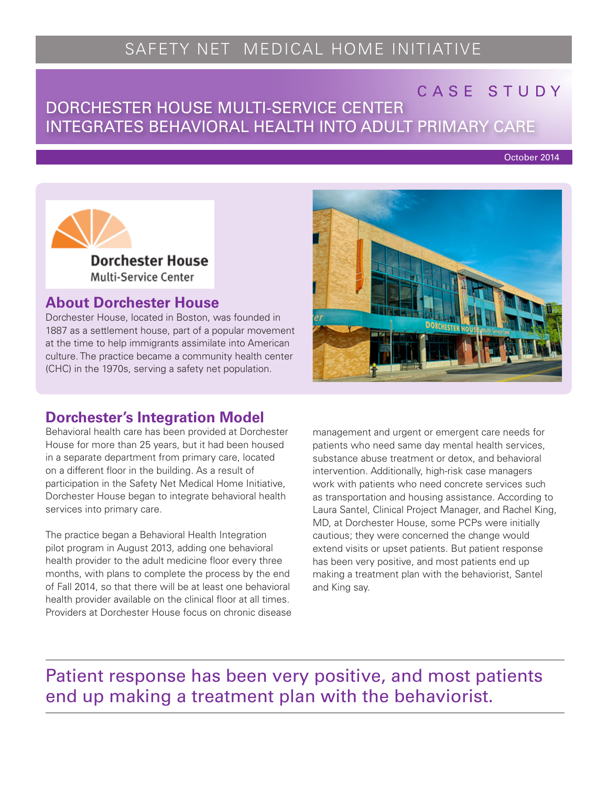# SAFETY NET MEDICAL HOME INITIATIVE

## CASE STUDY

## DORCHESTER HOUSE MULTI-SERVICE CENTER INTEGRATES BEHAVIORAL HEALTH INTO ADULT PRIMARY CARE

October 2014



### **About Dorchester House**

Dorchester House, located in Boston, was founded in 1887 as a settlement house, part of a popular movement at the time to help immigrants assimilate into American culture. The practice became a community health center (CHC) in the 1970s, serving a safety net population.



## **Dorchester's Integration Model**

Behavioral health care has been provided at Dorchester House for more than 25 years, but it had been housed in a separate department from primary care, located on a different floor in the building. As a result of participation in the Safety Net Medical Home Initiative, Dorchester House began to integrate behavioral health services into primary care.

The practice began a Behavioral Health Integration pilot program in August 2013, adding one behavioral health provider to the adult medicine floor every three months, with plans to complete the process by the end of Fall 2014, so that there will be at least one behavioral health provider available on the clinical floor at all times. Providers at Dorchester House focus on chronic disease management and urgent or emergent care needs for patients who need same day mental health services, substance abuse treatment or detox, and behavioral intervention. Additionally, high-risk case managers work with patients who need concrete services such as transportation and housing assistance. According to Laura Santel, Clinical Project Manager, and Rachel King, MD, at Dorchester House, some PCPs were initially cautious; they were concerned the change would extend visits or upset patients. But patient response has been very positive, and most patients end up making a treatment plan with the behaviorist, Santel and King say.

Patient response has been very positive, and most patients end up making a treatment plan with the behaviorist.